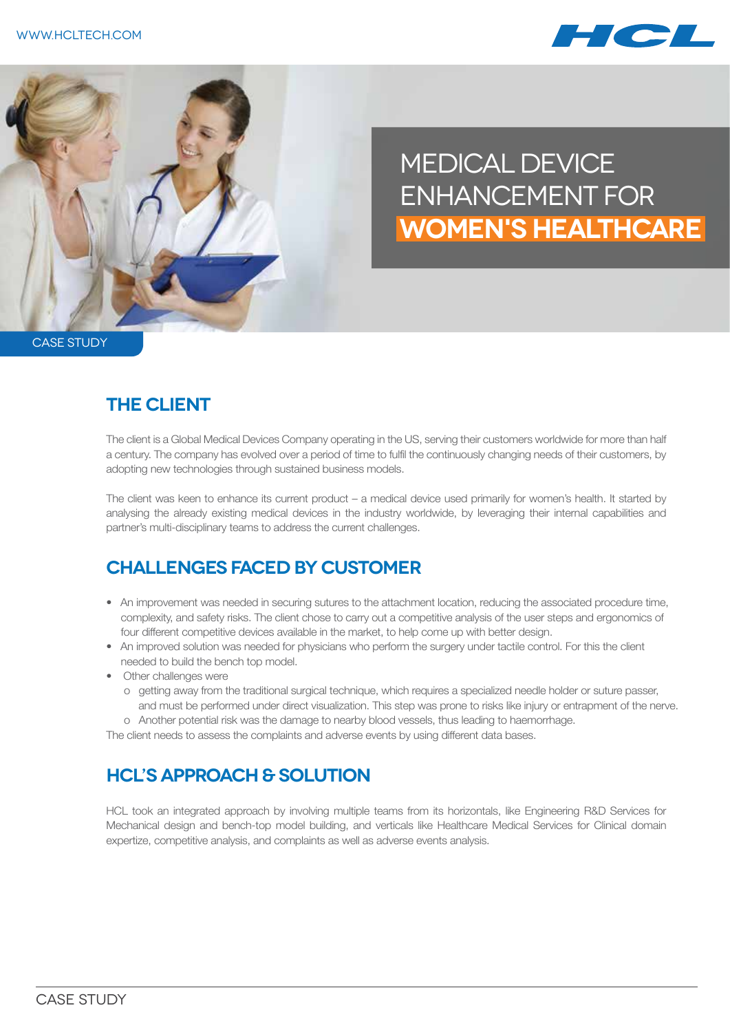



# Medical Device Enhancement for **Women's Healthcare**

CASE STUDY

#### **The Client**

The client is a Global Medical Devices Company operating in the US, serving their customers worldwide for more than half a century. The company has evolved over a period of time to fulfil the continuously changing needs of their customers, by adopting new technologies through sustained business models.

The client was keen to enhance its current product – a medical device used primarily for women's health. It started by analysing the already existing medical devices in the industry worldwide, by leveraging their internal capabilities and partner's multi-disciplinary teams to address the current challenges.

### **CHALLENGES FACED BY CUSTOMER**

- An improvement was needed in securing sutures to the attachment location, reducing the associated procedure time, complexity, and safety risks. The client chose to carry out a competitive analysis of the user steps and ergonomics of four different competitive devices available in the market, to help come up with better design.
- An improved solution was needed for physicians who perform the surgery under tactile control. For this the client needed to build the bench top model.
- Other challenges were
	- o getting away from the traditional surgical technique, which requires a specialized needle holder or suture passer, and must be performed under direct visualization. This step was prone to risks like injury or entrapment of the nerve.
	- o Another potential risk was the damage to nearby blood vessels, thus leading to haemorrhage.

The client needs to assess the complaints and adverse events by using different data bases.

## **HCL's APPROACH & SOLUTION**

HCL took an integrated approach by involving multiple teams from its horizontals, like Engineering R&D Services for Mechanical design and bench-top model building, and verticals like Healthcare Medical Services for Clinical domain expertize, competitive analysis, and complaints as well as adverse events analysis.